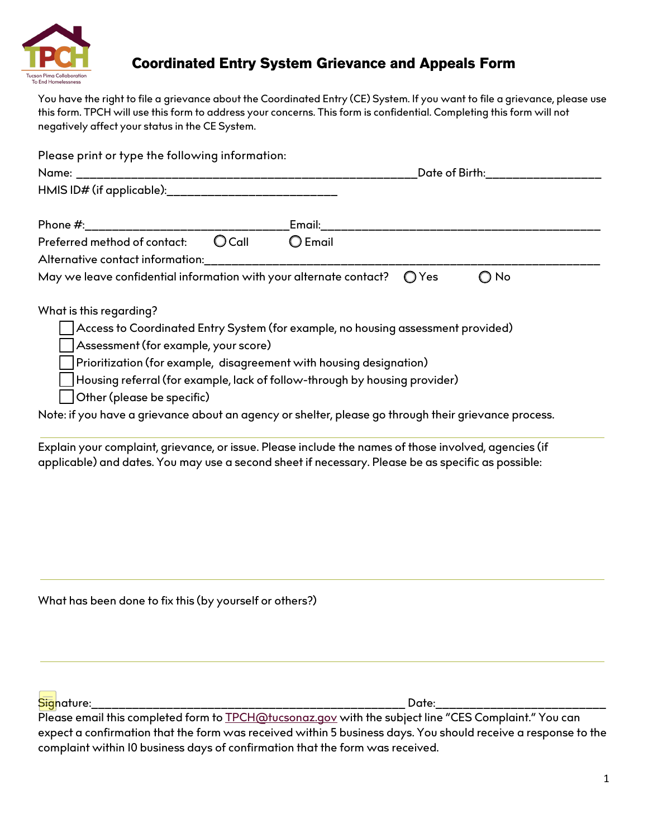

## **Coordinated Entry System Grievance and Appeals Form**

You have the right to file a grievance about the Coordinated Entry (CE) System. If you want to file a grievance, please use this form. TPCH will use this form to address your concerns. This form is confidential. Completing this form will not negatively affect your status in the CE System.

| Please print or type the following information:                                                                                                                      |                                                                                                                                                                                                                                                                        |  |
|----------------------------------------------------------------------------------------------------------------------------------------------------------------------|------------------------------------------------------------------------------------------------------------------------------------------------------------------------------------------------------------------------------------------------------------------------|--|
|                                                                                                                                                                      | Date of Birth: <b>Example 2</b>                                                                                                                                                                                                                                        |  |
| HMIS ID# (if applicable):_____________________________                                                                                                               |                                                                                                                                                                                                                                                                        |  |
|                                                                                                                                                                      |                                                                                                                                                                                                                                                                        |  |
| $O$ Call<br>Preferred method of contact:                                                                                                                             | $\bigcirc$ Email                                                                                                                                                                                                                                                       |  |
| Alternative contact information:                                                                                                                                     |                                                                                                                                                                                                                                                                        |  |
| May we leave confidential information with your alternate contact?                                                                                                   | O No<br>Yes<br>$\circ$                                                                                                                                                                                                                                                 |  |
| What is this regarding?<br>Assessment (for example, your score)<br>Prioritization (for example, disagreement with housing designation)<br>Other (please be specific) | Access to Coordinated Entry System (for example, no housing assessment provided)<br>Housing referral (for example, lack of follow-through by housing provider)<br>Note: if you have a grievance about an agency or shelter, please go through their grievance process. |  |
|                                                                                                                                                                      | Explain your complaint, grievance, or issue. Please include the names of those involved, agencies (if                                                                                                                                                                  |  |

applicable) and dates. You may use a second sheet if necessary. Please be as specific as possible:

What has been done to fix this (by yourself or others?)

Signature:\_\_\_\_\_\_\_\_\_\_\_\_\_\_\_\_\_\_\_\_\_\_\_\_\_\_\_\_\_\_\_\_\_\_\_\_\_\_\_\_\_\_\_\_\_\_ Date:\_\_\_\_\_\_\_\_\_\_\_\_\_\_\_\_\_\_\_\_\_\_\_\_\_

Please email this completed form to <u>TPCH@tucsonaz.gov</u> with the subject line "CES Complaint." You can expect a confirmation that the form was received within 5 business days. You should receive a response to the complaint within 10 business days of confirmation that the form was received.